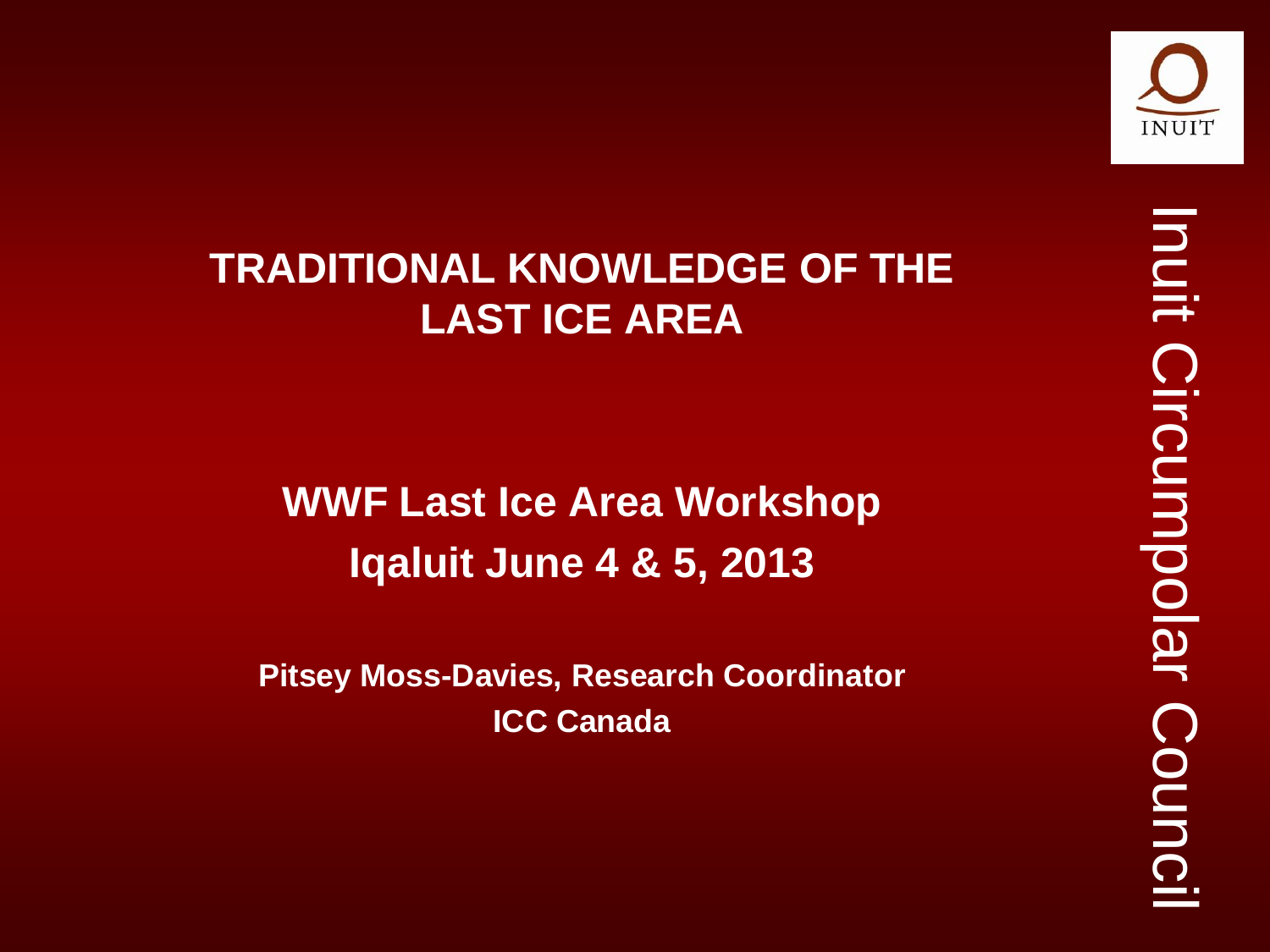

#### **TRADITIONAL KNOWLEDGE OF THE LAST ICE AREA**

#### **WWF Last Ice Area Workshop Iqaluit June 4 & 5, 2013**

**Pitsey Moss-Davies, Research Coordinator ICC Canada**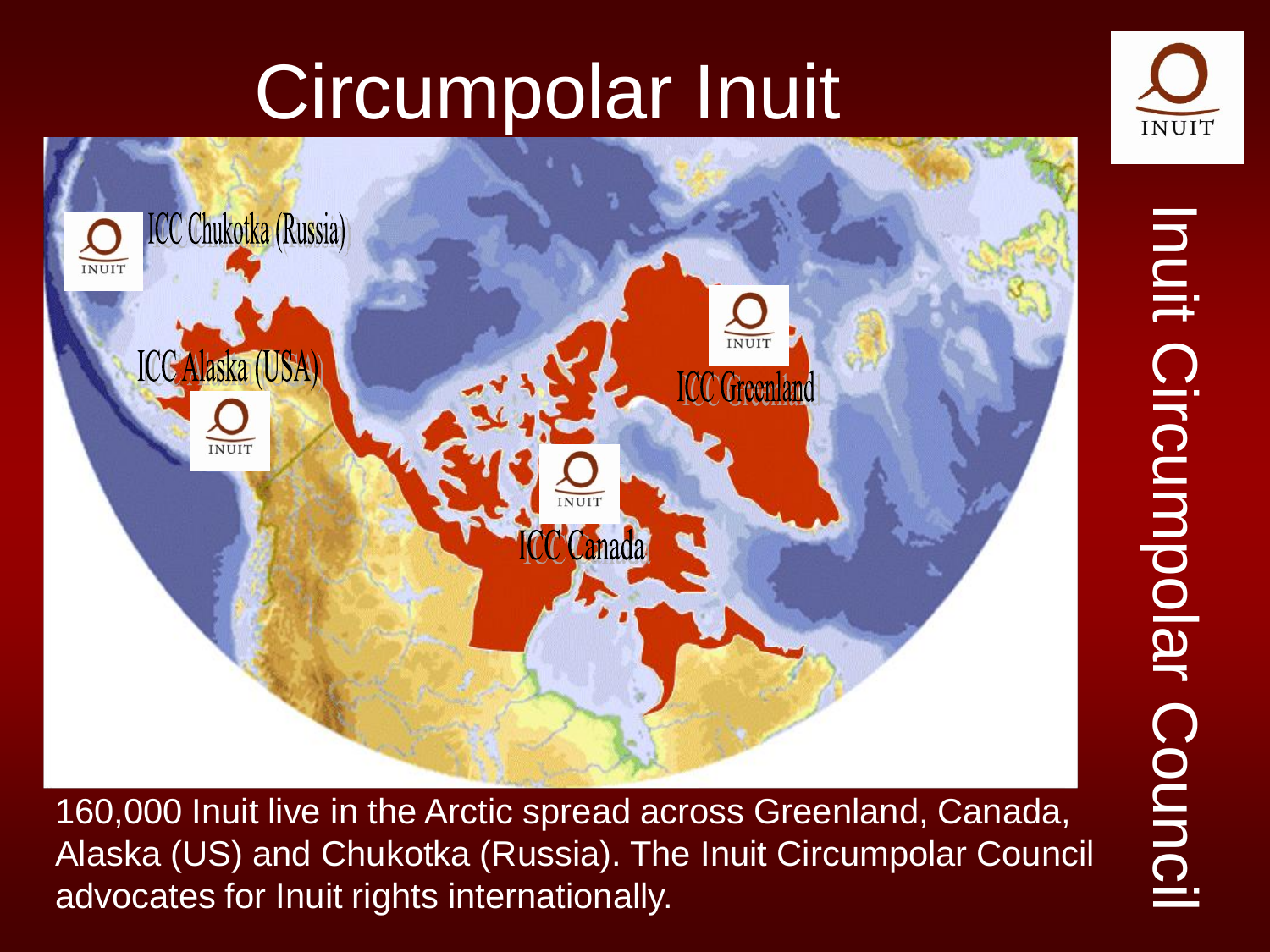## Circumpolar Inuit





160,000 Inuit live in the Arctic spread across Greenland, Canada, Alaska (US) and Chukotka (Russia). The Inuit Circumpolar Council advocates for Inuit rights internationally.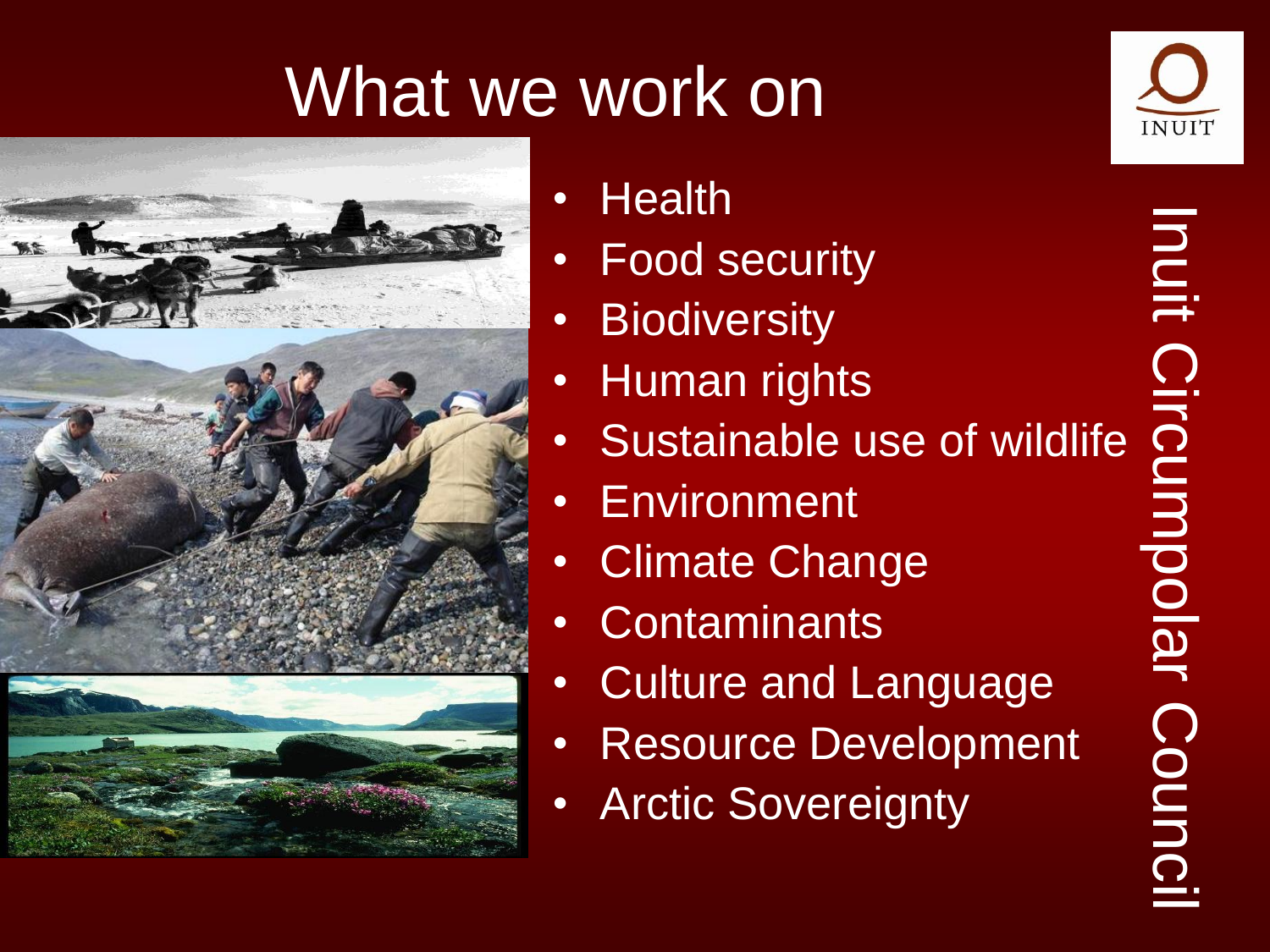#### What we work on



- Health
- **Food security**
- Biodiversity
- Human rights
- Sustainable use of wildlife
	- **Environment**
- Climate Change
- **Contaminants**
- Culture and Language
- Resource Development
- Arctic Sovereignty

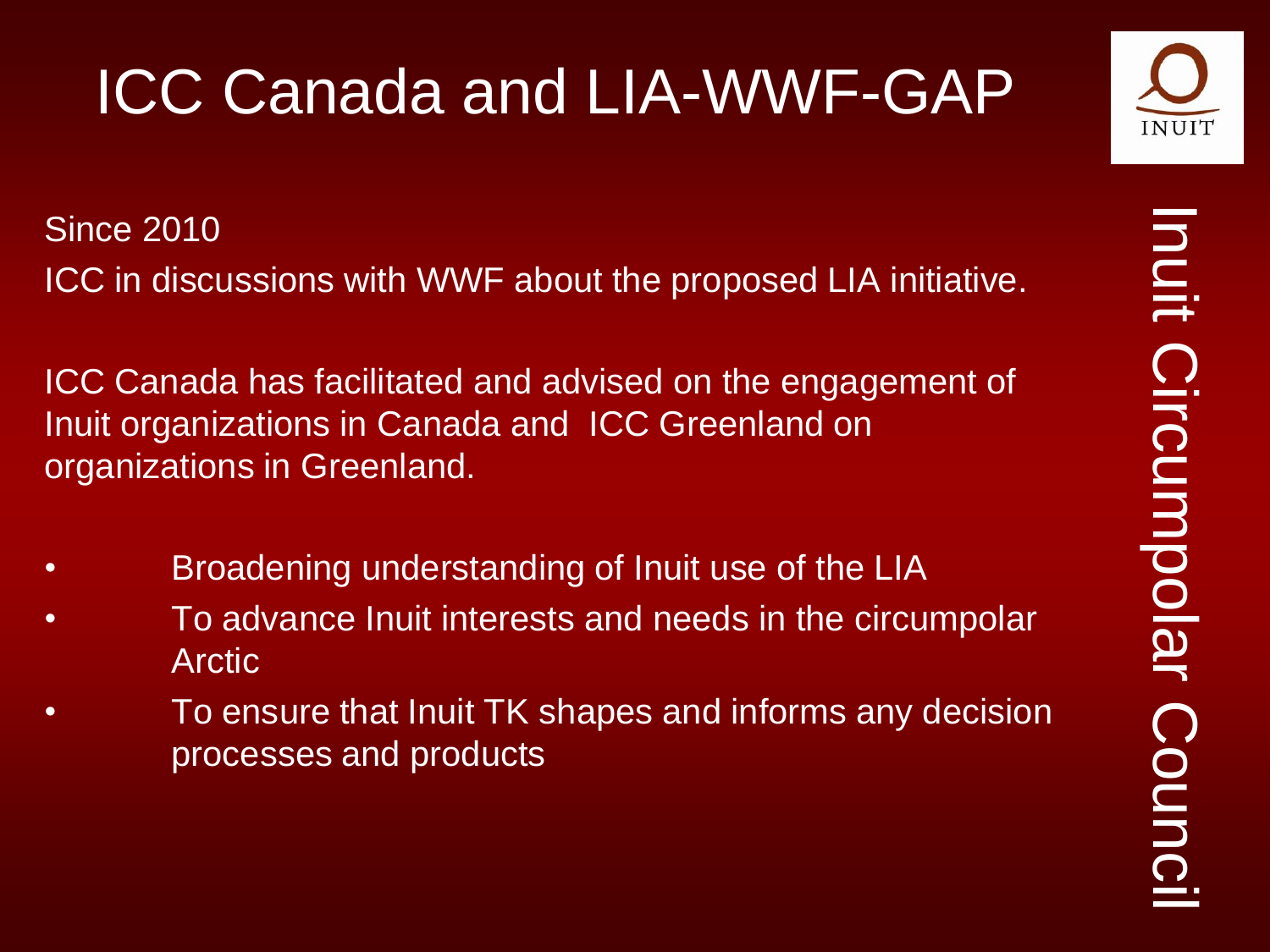#### ICC Canada and LIA-WWF-GAP

Since 2010 ICC in discussions with WWF about the proposed LIA initiative.

ICC Canada has facilitated and advised on the engagement of Inuit organizations in Canada and ICC Greenland on organizations in Greenland.

- Broadening understanding of Inuit use of the LIA
- To advance Inuit interests and needs in the circumpolar Arctic
- To ensure that Inuit TK shapes and informs any decision processes and products

Inuit Circumpolar Council Inuit Circumpolar Counc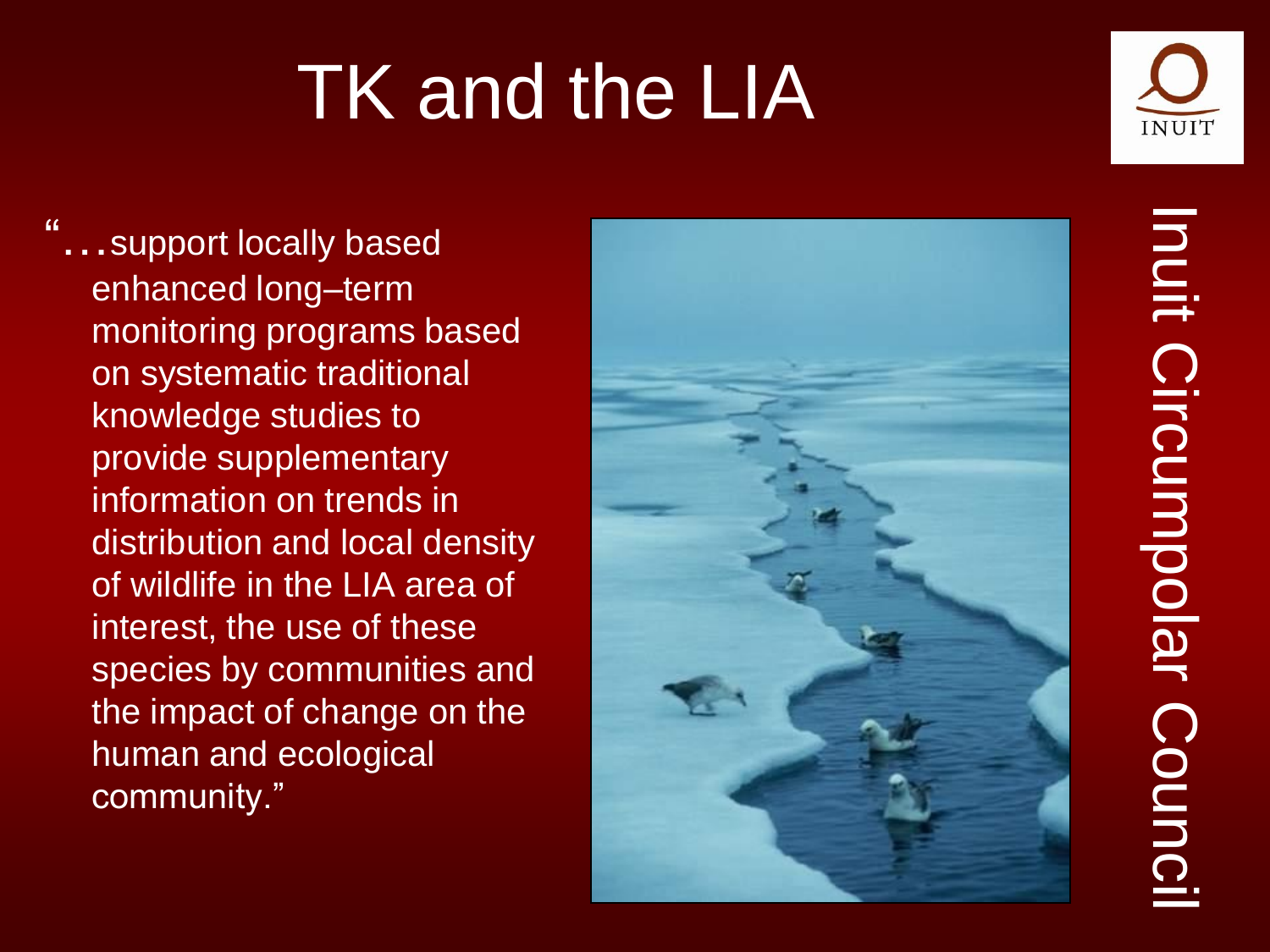# TK and the LIA



"…support locally based enhanced long–term monitoring programs based on systematic traditional knowledge studies to provide supplementary information on trends in distribution and local density of wildlife in the LIA area of interest, the use of these species by communities and the impact of change on the human and ecological community."

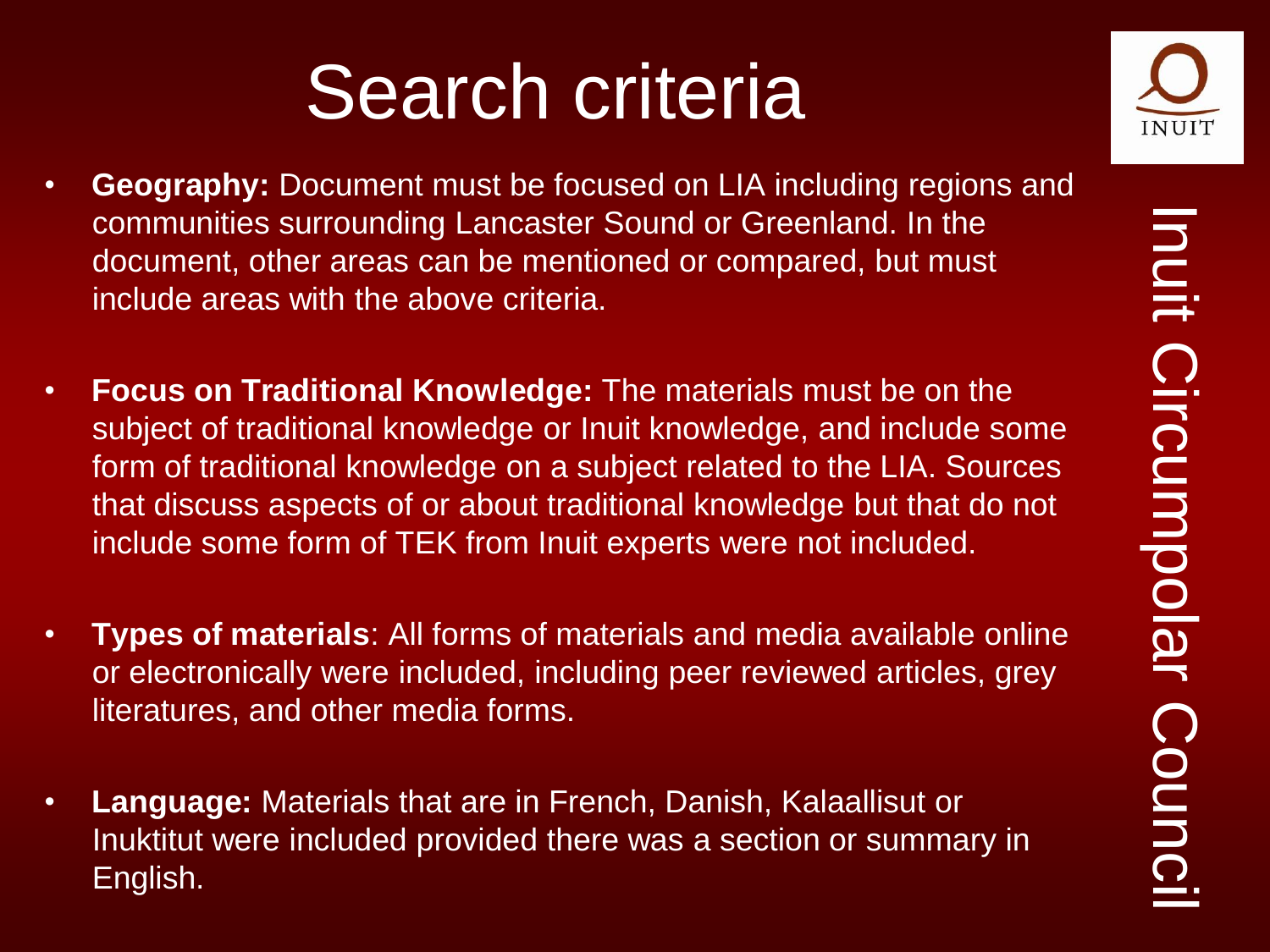## Search criteria

- **Geography:** Document must be focused on LIA including regions and communities surrounding Lancaster Sound or Greenland. In the document, other areas can be mentioned or compared, but must include areas with the above criteria.
- **Focus on Traditional Knowledge:** The materials must be on the subject of traditional knowledge or Inuit knowledge, and include some form of traditional knowledge on a subject related to the LIA. Sources that discuss aspects of or about traditional knowledge but that do not include some form of TEK from Inuit experts were not included.
- **Types of materials**: All forms of materials and media available online or electronically were included, including peer reviewed articles, grey literatures, and other media forms.
- **Language:** Materials that are in French, Danish, Kalaallisut or Inuktitut were included provided there was a section or summary in English.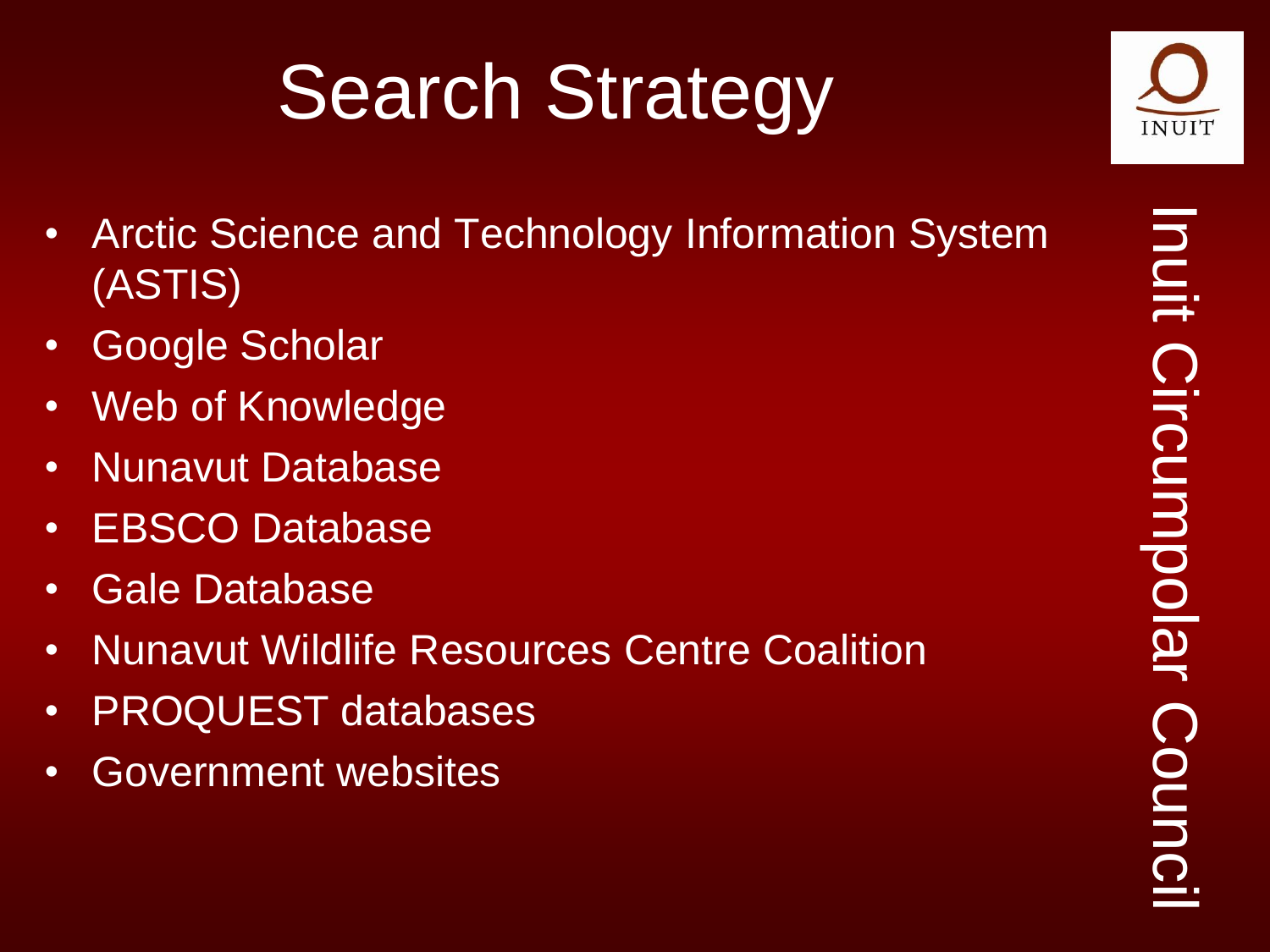# Search Strategy

- Arctic Science and Technology Information System (ASTIS)
- Google Scholar
- Web of Knowledge
- Nunavut Database
- EBSCO Database
- Gale Database
- Nunavut Wildlife Resources Centre Coalition
- PROQUEST databases
- Government websites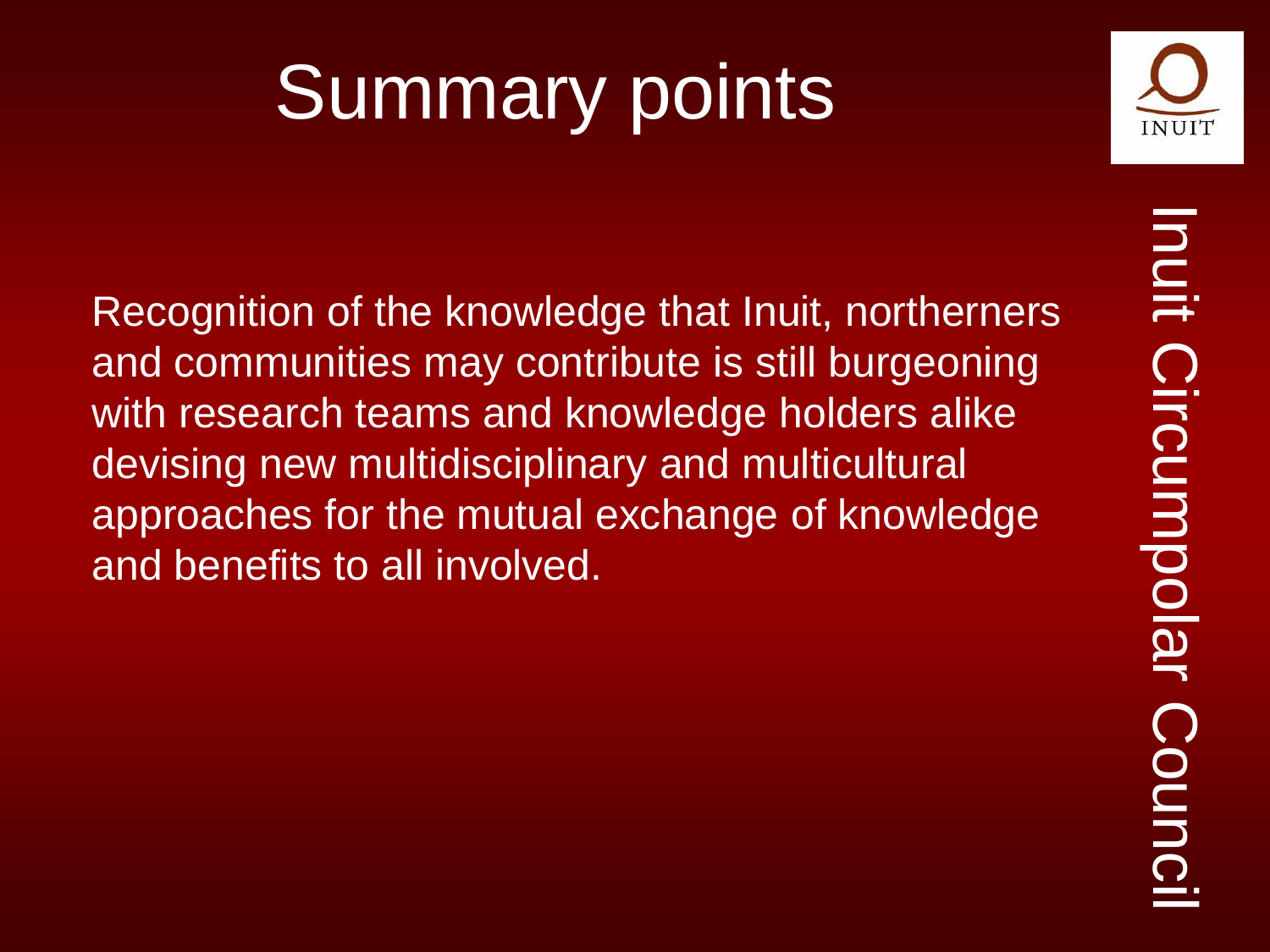# Summary points



Recognition of the knowledge that Inuit, northerners and communities may contribute is still burgeoning with research teams and knowledge holders alike devising new multidisciplinary and multicultural approaches for the mutual exchange of knowledge and benefits to all involved.

Inuit Circumpolar Council Inuit **Circumpolar Counci**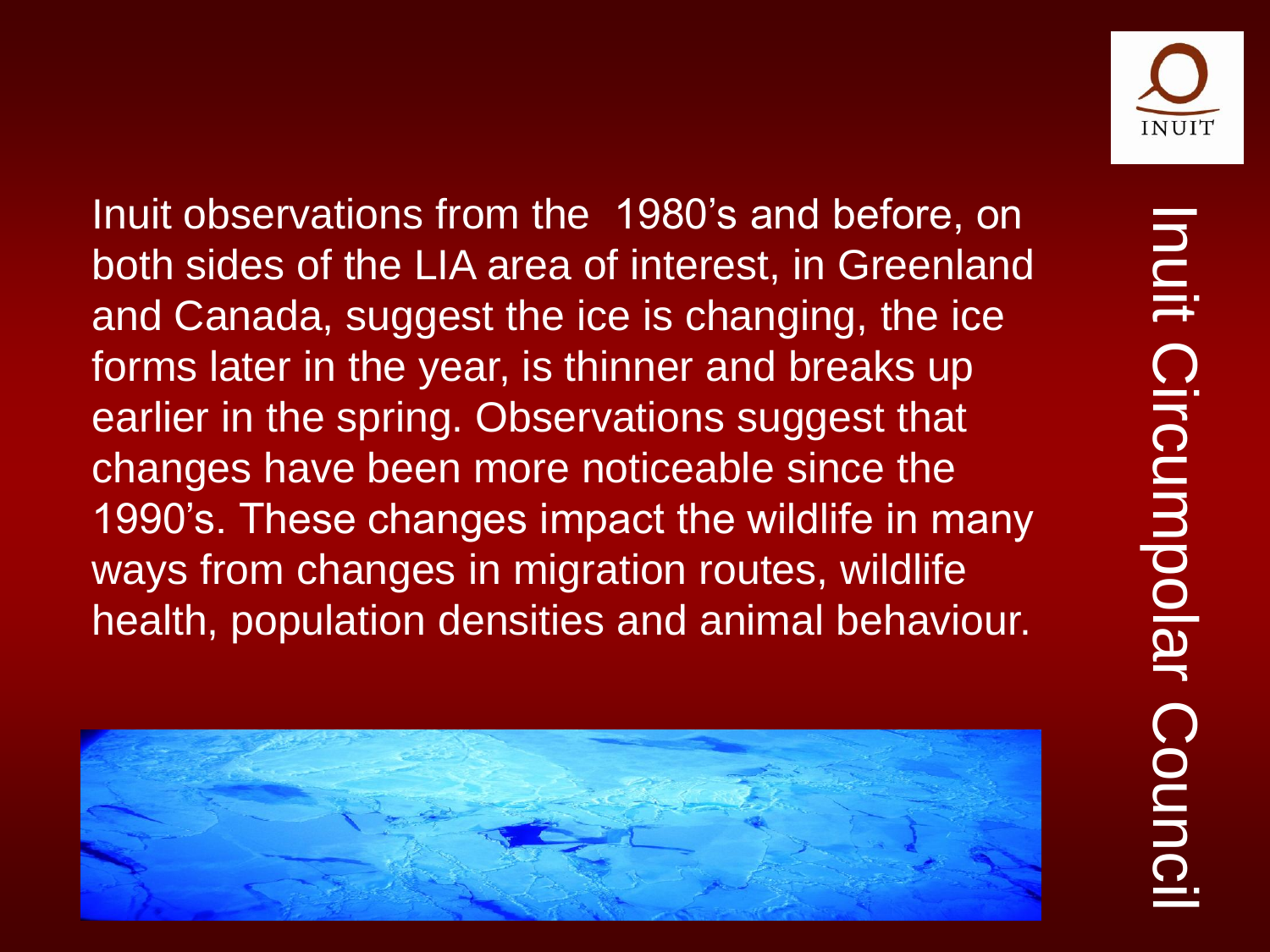

Inuit observations from the 1980's and before, on both sides of the LIA area of interest, in Greenland and Canada, suggest the ice is changing, the ice forms later in the year, is thinner and breaks up earlier in the spring. Observations suggest that changes have been more noticeable since the 1990's. These changes impact the wildlife in many ways from changes in migration routes, wildlife health, population densities and animal behaviour.

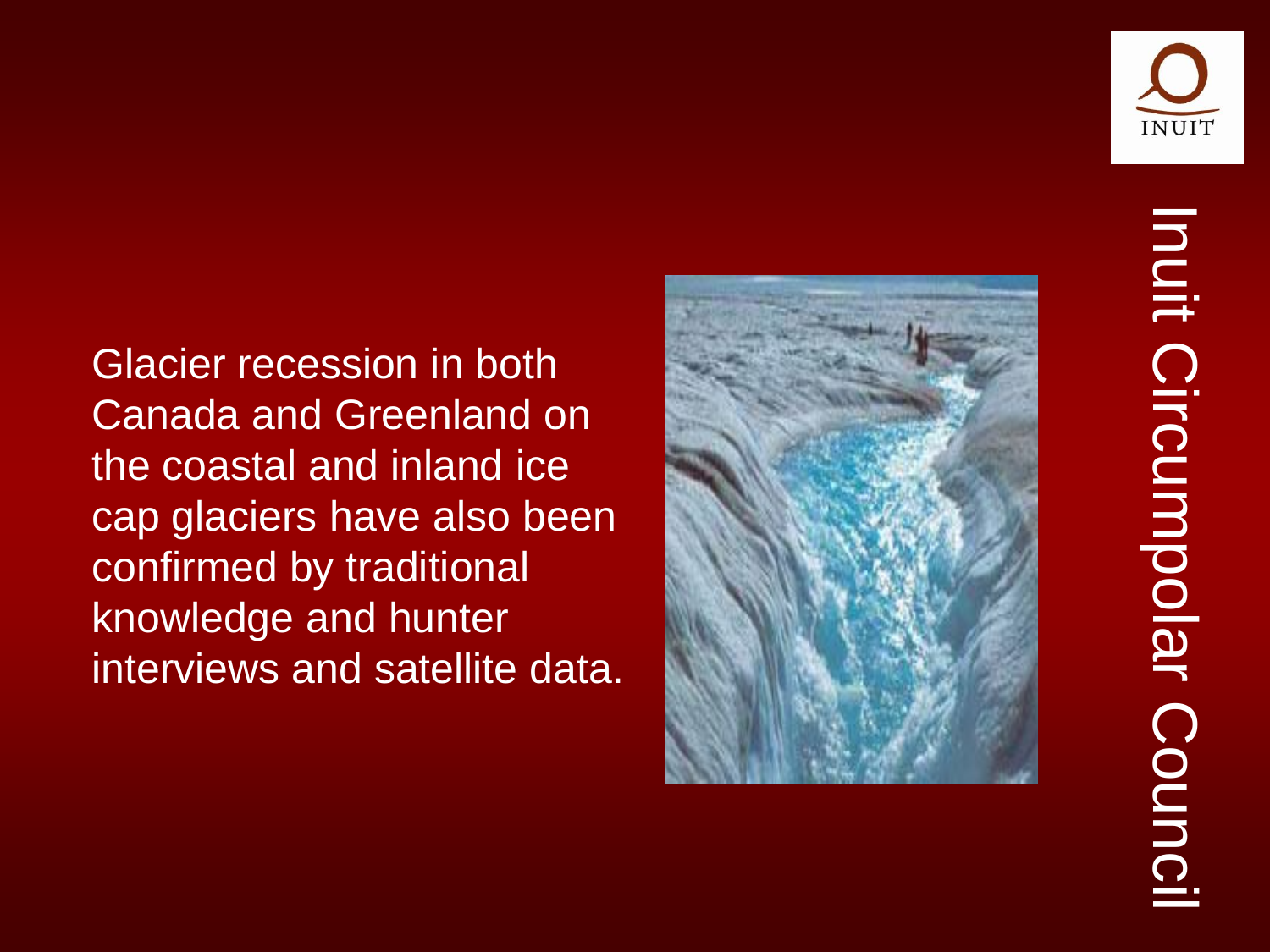

# Inuit Inuit Circumpolar Council **Circumpolar Council**

Glacier recession in both Canada and Greenland on the coastal and inland ice cap glaciers have also been confirmed by traditional knowledge and hunter interviews and satellite data.

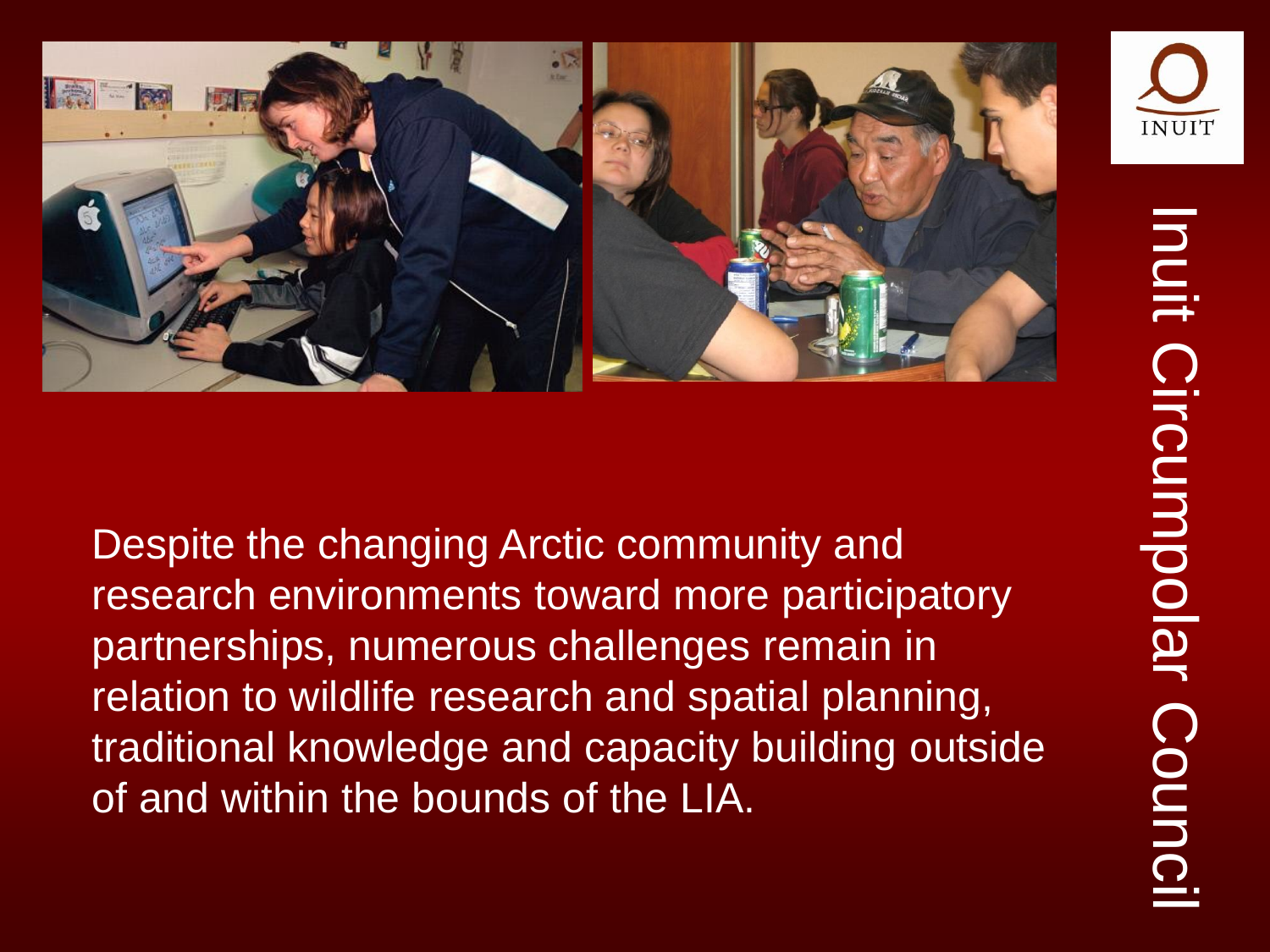

Despite the changing Arctic community and research environments toward more participatory partnerships, numerous challenges remain in relation to wildlife research and spatial planning, traditional knowledge and capacity building outside of and within the bounds of the LIA.

Inuit

Inuit Circumpolar Council

**Circumpolar Counc**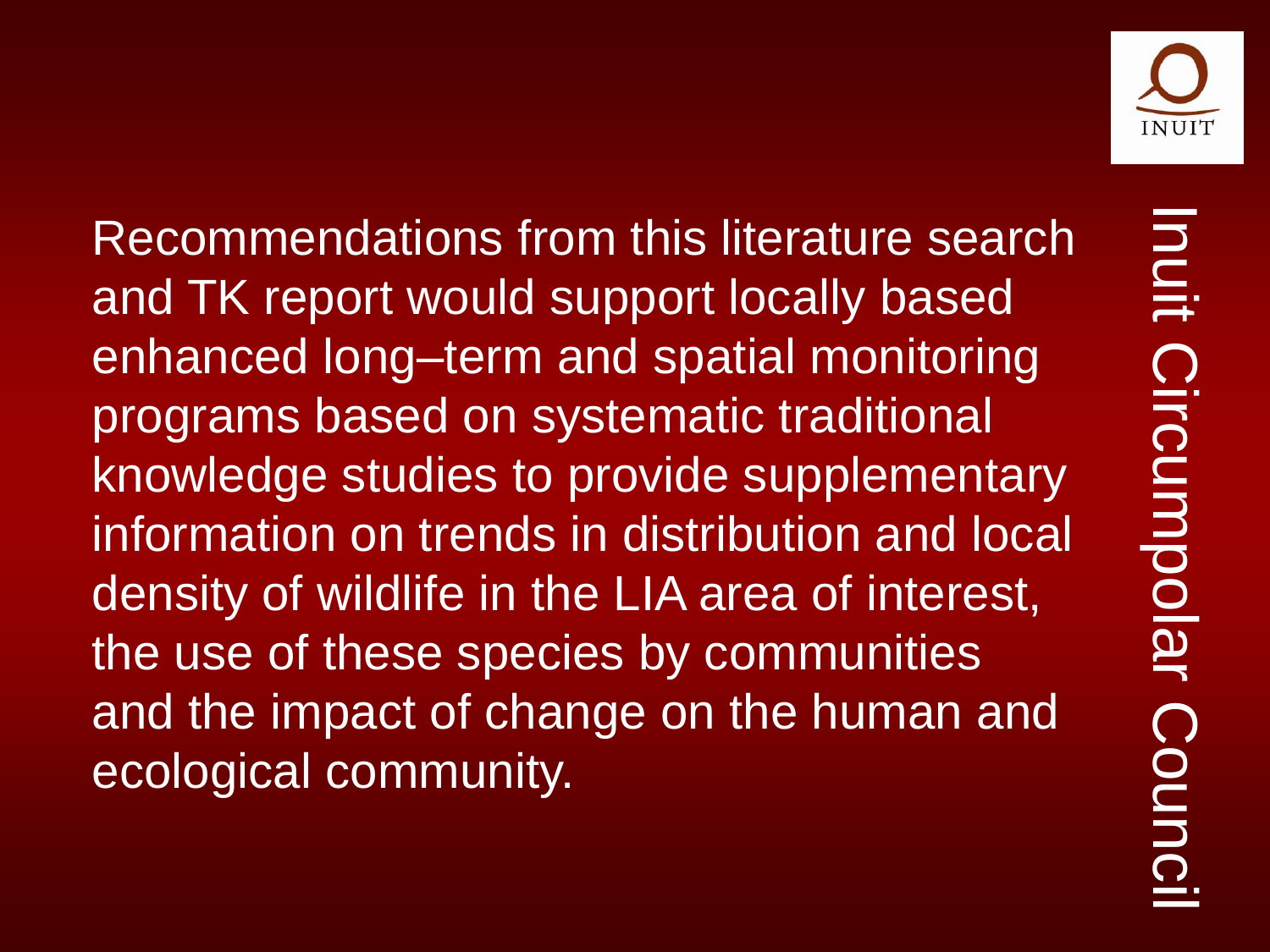Recommendations from this literature search and TK report would support locally based enhanced long–term and spatial monitoring programs based on systematic traditional knowledge studies to provide supplementary information on trends in distribution and local density of wildlife in the LIA area of interest, the use of these species by communities and the impact of change on the human and ecological community.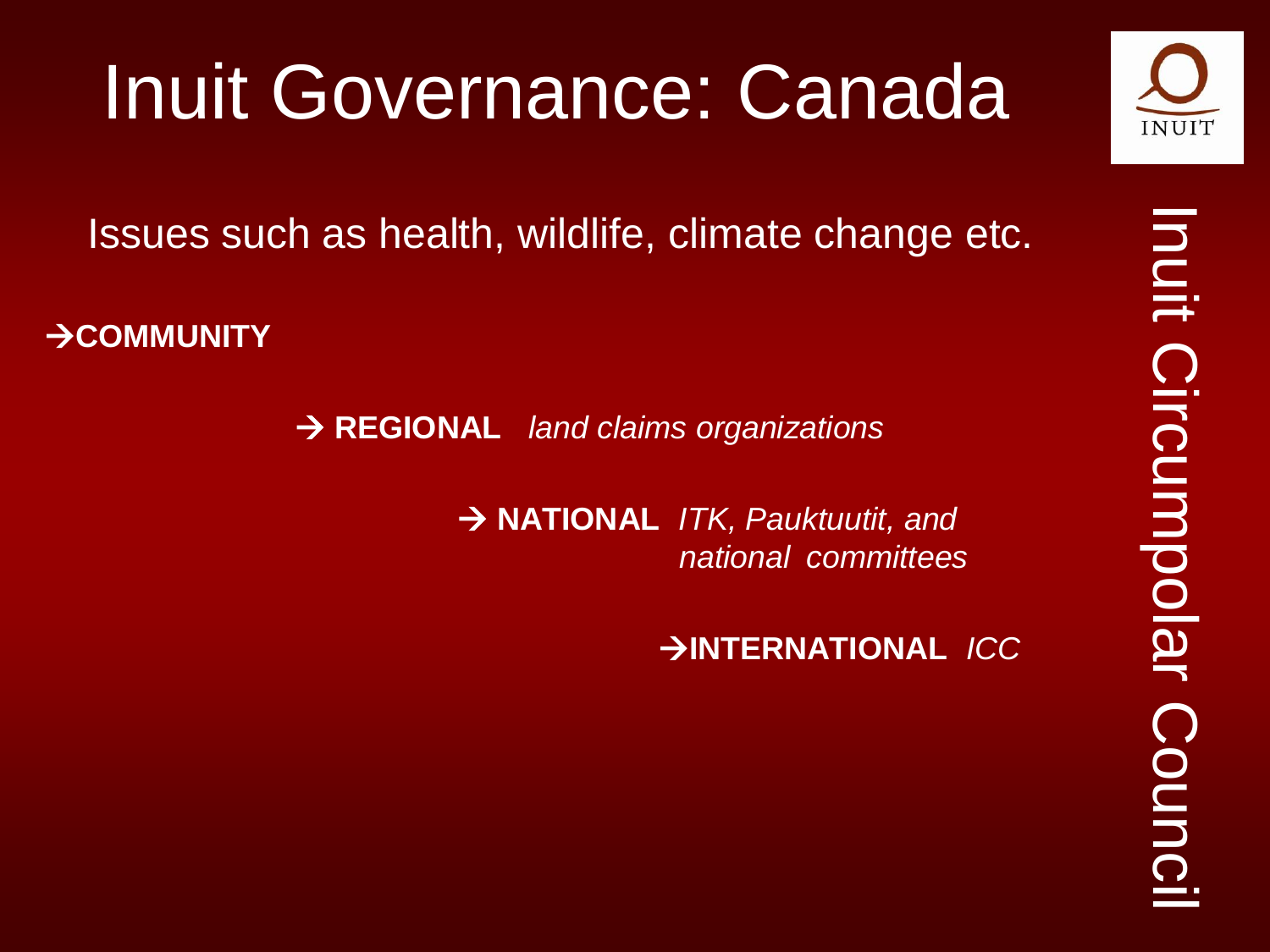#### Inuit Governance: Canada

Issues such as health, wildlife, climate change etc.

 $\rightarrow$  **COMMUNITY** 

 **REGIONAL** *land claims organizations*

 **NATIONAL** *ITK, Pauktuutit, and national committees* 

 **INTERNATIONAL** *ICC*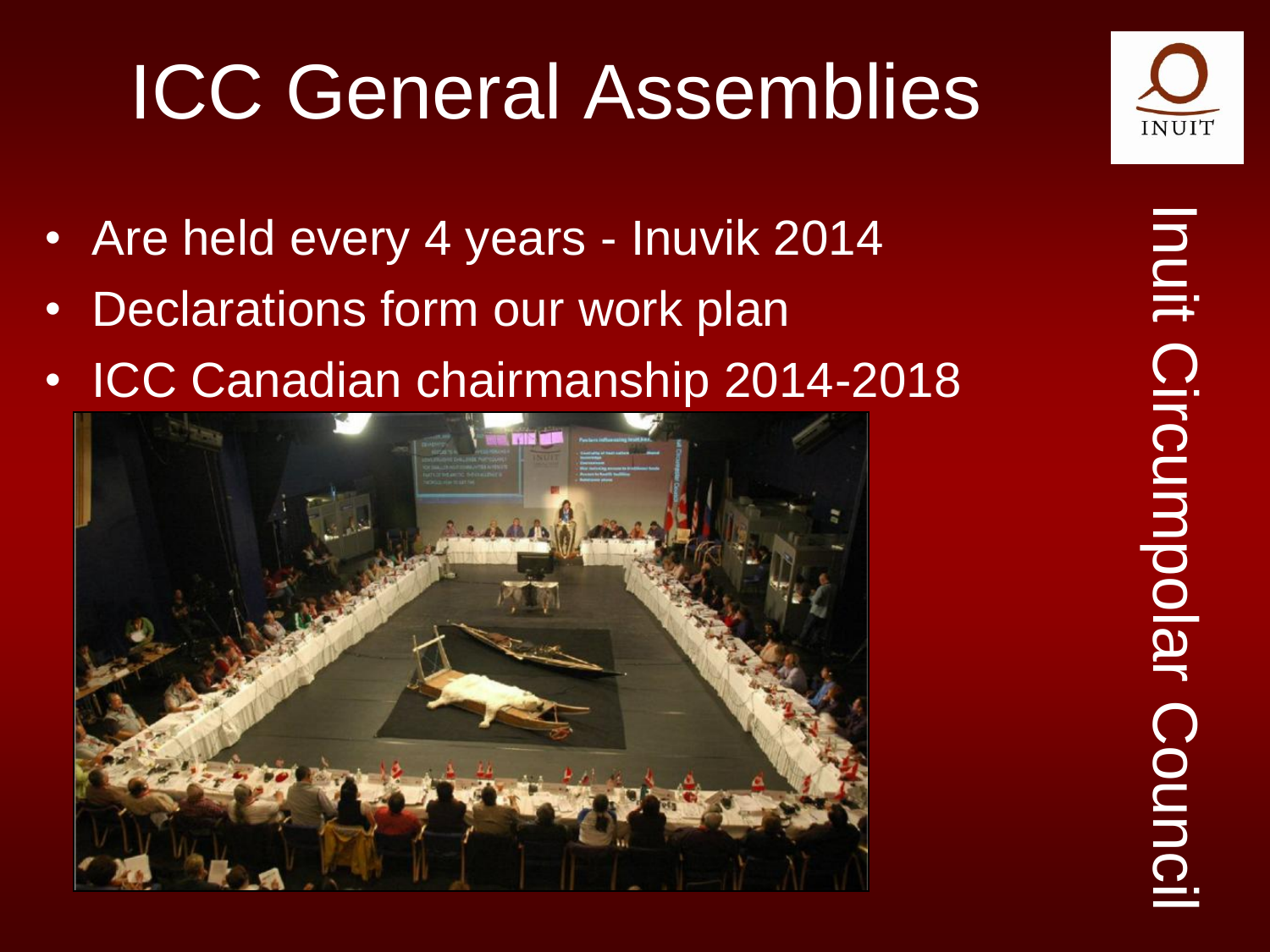## ICC General Assemblies

- Are held every 4 years Inuvik 2014
- Declarations form our work plan
- ICC Canadian chairmanship 2014-2018

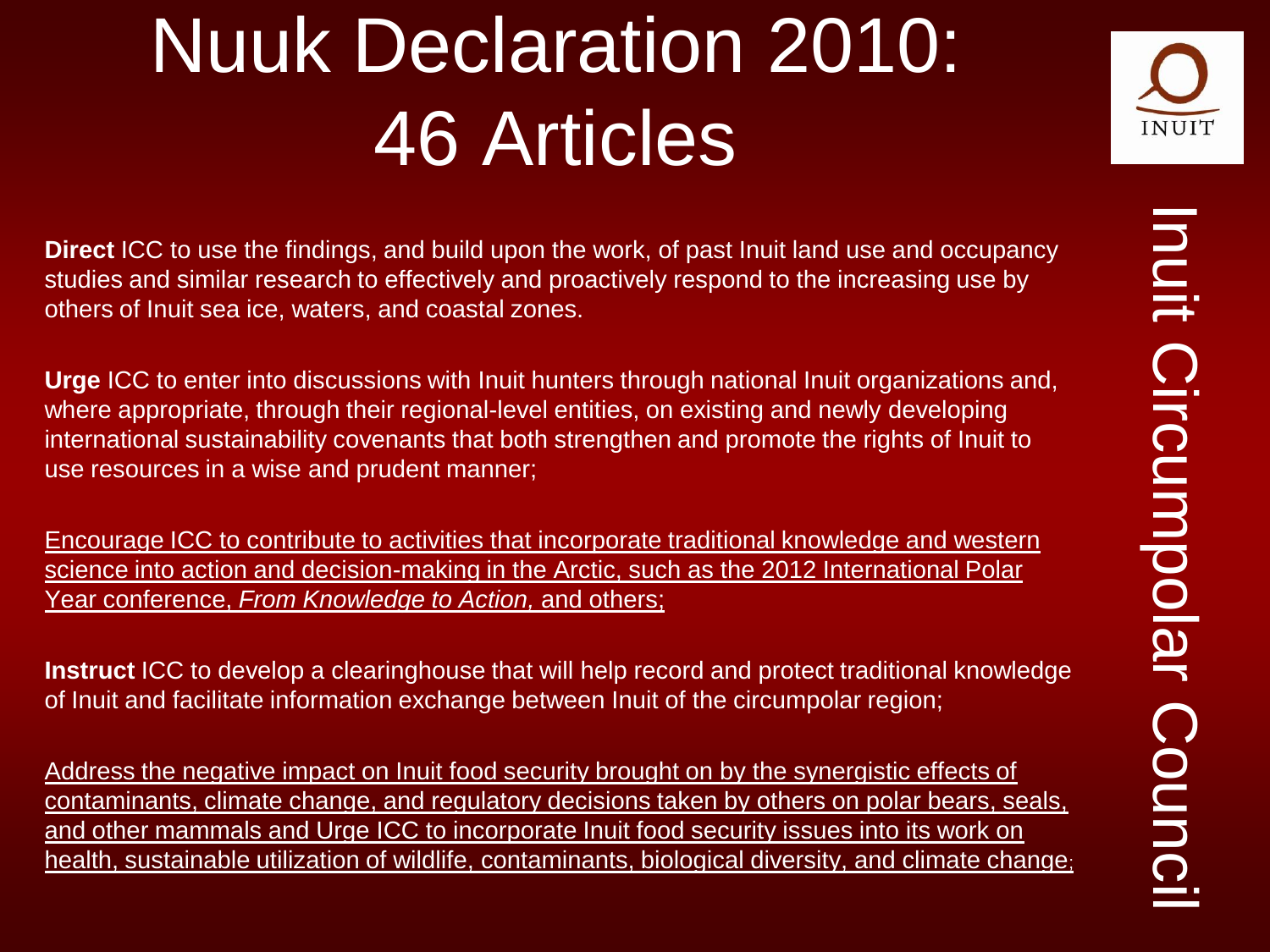## Nuuk Declaration 2010: 46 Articles



**Direct** ICC to use the findings, and build upon the work, of past Inuit land use and occupancy studies and similar research to effectively and proactively respond to the increasing use by others of Inuit sea ice, waters, and coastal zones.

**Urge** ICC to enter into discussions with Inuit hunters through national Inuit organizations and, where appropriate, through their regional-level entities, on existing and newly developing international sustainability covenants that both strengthen and promote the rights of Inuit to use resources in a wise and prudent manner;

Encourage ICC to contribute to activities that incorporate traditional knowledge and western science into action and decision-making in the Arctic, such as the 2012 International Polar Year conference, *From Knowledge to Action,* and others;

**Instruct** ICC to develop a clearinghouse that will help record and protect traditional knowledge of Inuit and facilitate information exchange between Inuit of the circumpolar region;

Address the negative impact on Inuit food security brought on by the synergistic effects of contaminants, climate change, and regulatory decisions taken by others on polar bears, seals, and other mammals and Urge ICC to incorporate Inuit food security issues into its work on health, sustainable utilization of wildlife, contaminants, biological diversity, and climate change;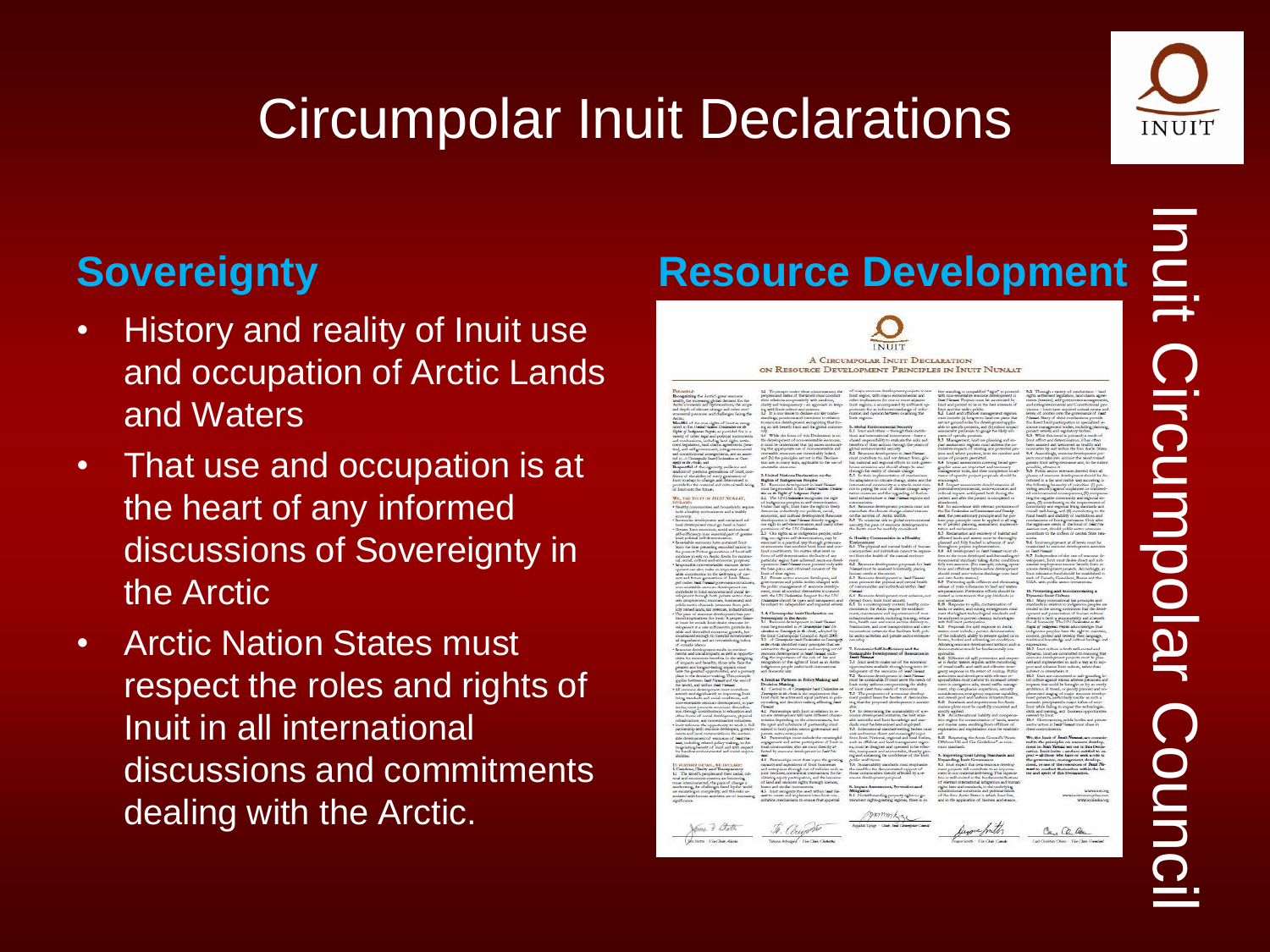

#### Circumpolar Inuit Declarations

#### **Sovereignty**

- History and reality of Inuit use and occupation of Arctic Lands and Waters
- That use and occupation is at the heart of any informed discussions of Sovereignty in the Arctic
- Arctic Nation States must respect the roles and rights of Inuit in all international discussions and commitments dealing with the Arctic.

#### **Resource Development**

#### A CIRCUMPOLAR INJULT DECLARATION N RESOURCE DEVELOPMENT PRINCIPLES IN INITE NUNAAT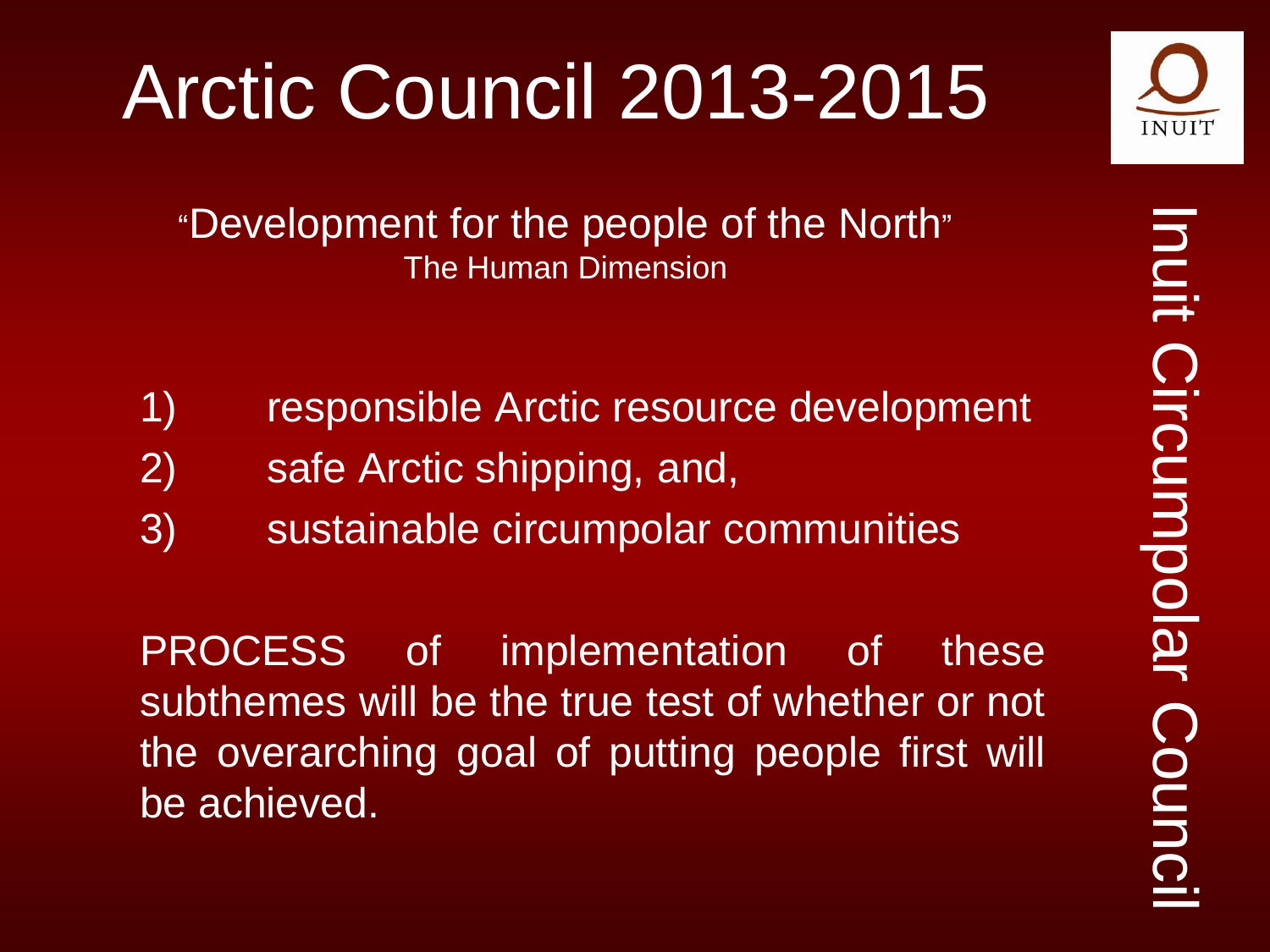## Arctic Council 2013-2015

"Development for the people of the North" The Human Dimension

- 1) responsible Arctic resource development
- 2) safe Arctic shipping, and,
- 3) sustainable circumpolar communities

PROCESS of implementation of these subthemes will be the true test of whether or not the overarching goal of putting people first will be achieved.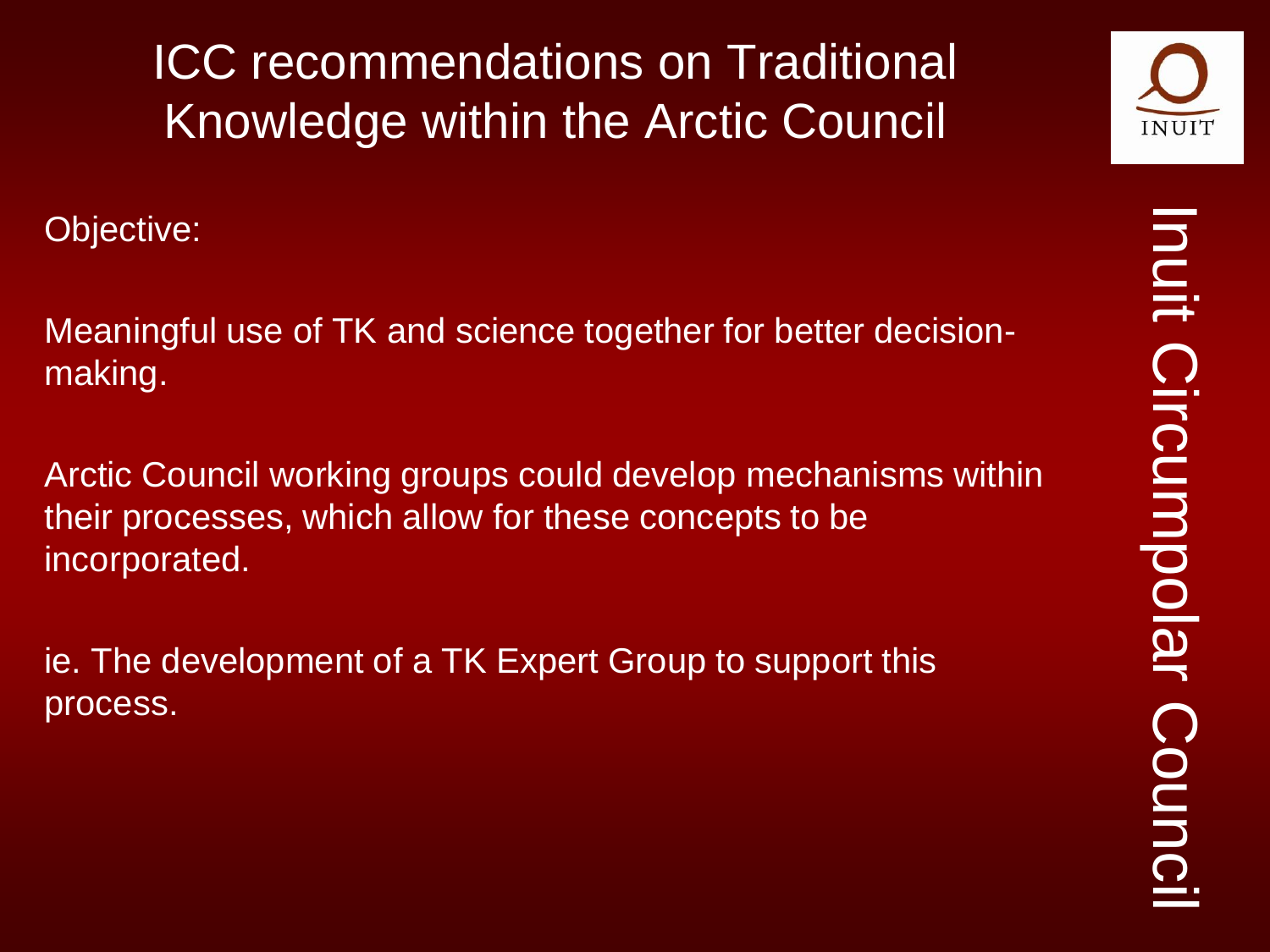ICC recommendations on Traditional Knowledge within the Arctic Council

Objective:

Meaningful use of TK and science together for better decisionmaking.

Arctic Council working groups could develop mechanisms within their processes, which allow for these concepts to be incorporated.

ie. The development of a TK Expert Group to support this process.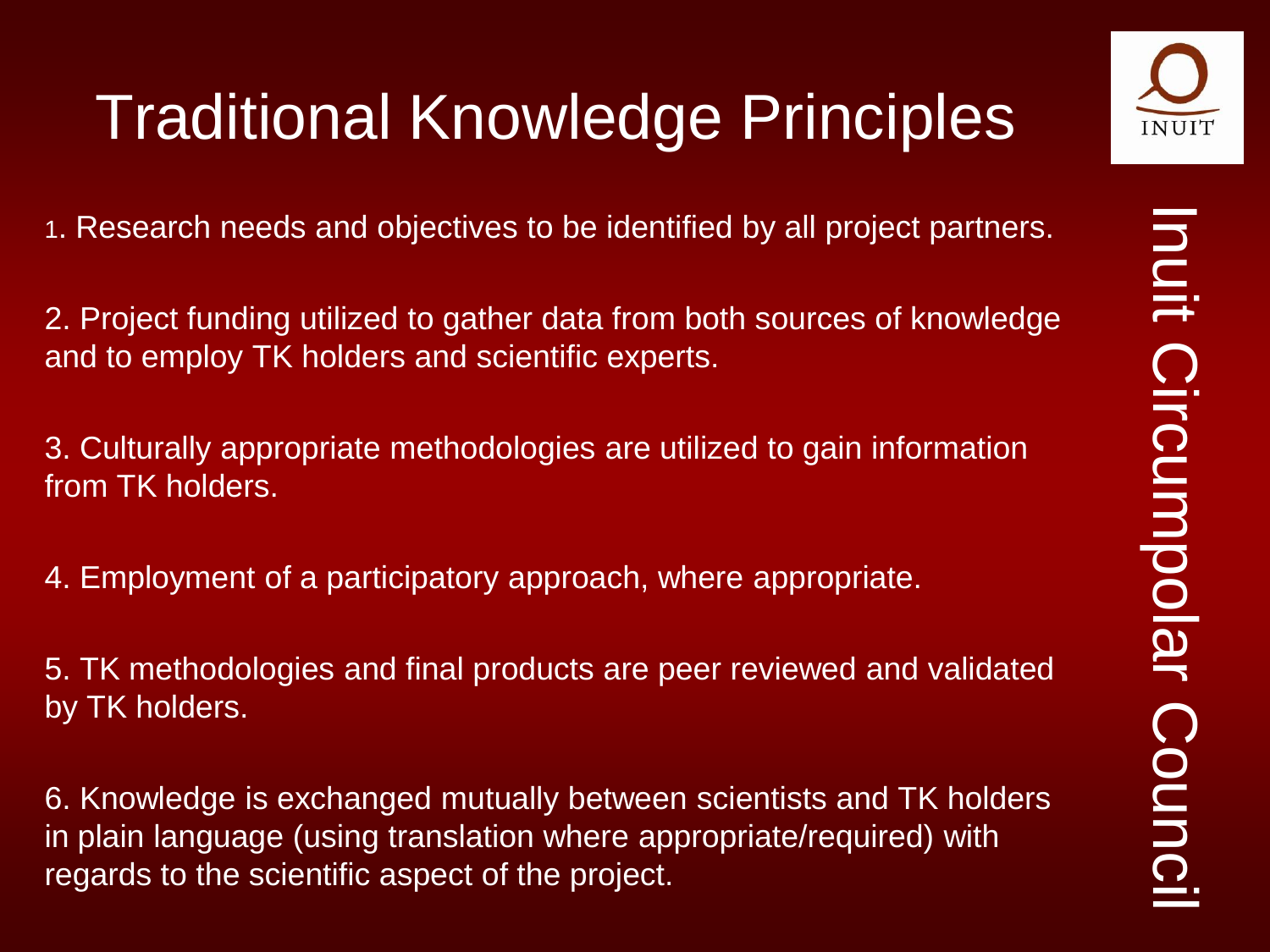#### Traditional Knowledge Principles

1. Research needs and objectives to be identified by all project partners.

2. Project funding utilized to gather data from both sources of knowledge and to employ TK holders and scientific experts.

3. Culturally appropriate methodologies are utilized to gain information from TK holders.

4. Employment of a participatory approach, where appropriate.

5. TK methodologies and final products are peer reviewed and validated by TK holders.

6. Knowledge is exchanged mutually between scientists and TK holders in plain language (using translation where appropriate/required) with regards to the scientific aspect of the project.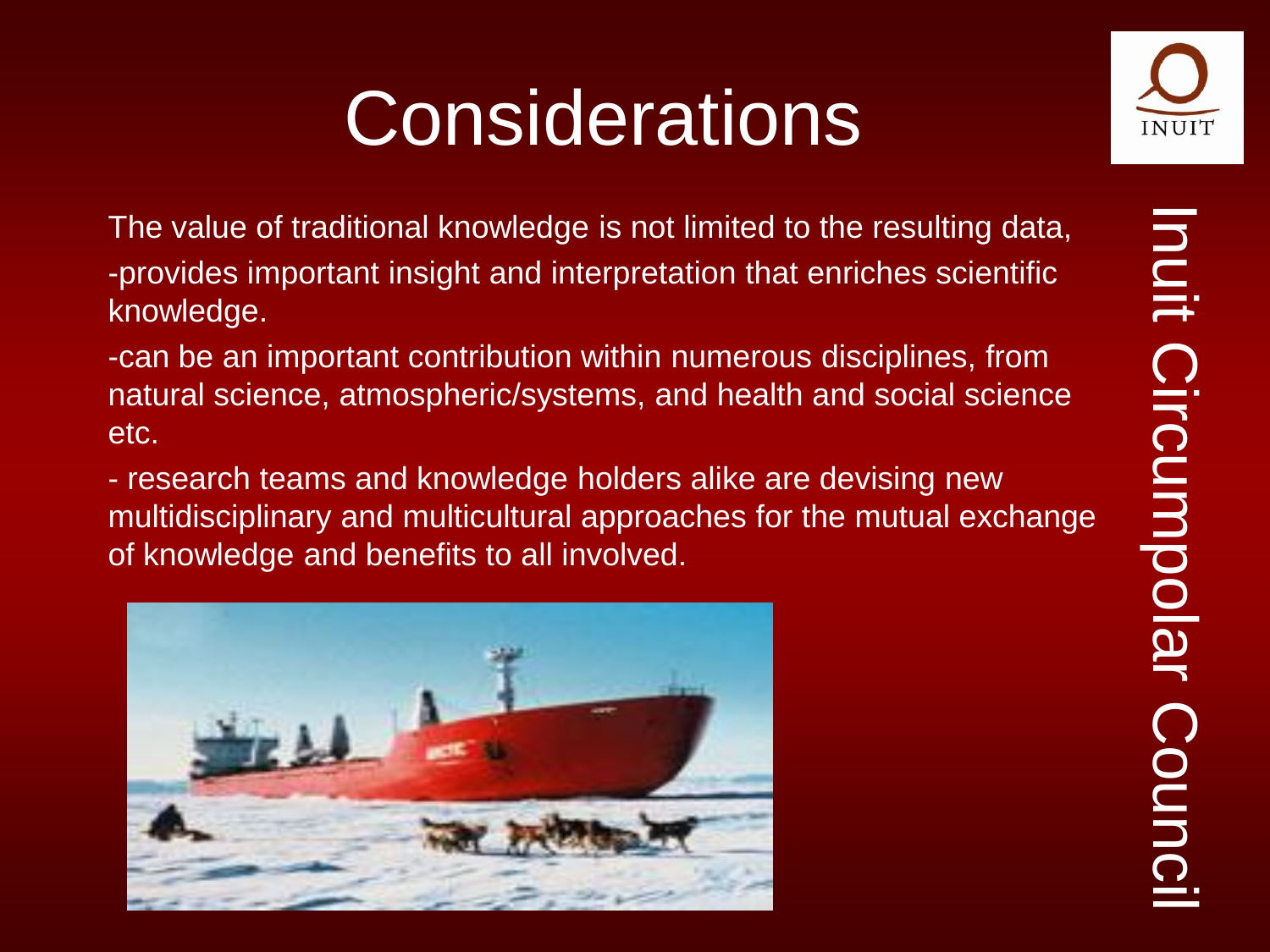#### **Considerations**



The value of traditional knowledge is not limited to the resulting data, -provides important insight and interpretation that enriches scientific knowledge.

-can be an important contribution within numerous disciplines, from natural science, atmospheric/systems, and health and social science etc.

- research teams and knowledge holders alike are devising new multidisciplinary and multicultural approaches for the mutual exchange of knowledge and benefits to all involved.